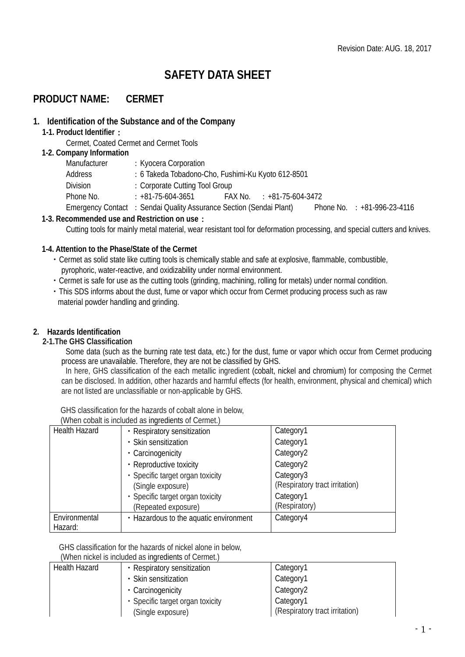# **SAFETY DATA SHEET**

# **PRODUCT NAME: CERMET**

## **1. Identification of the Substance and of the Company**

### **1-1. Product Identifier**:

Cermet, Coated Cermet and Cermet Tools

### **1-2. Company Information**

| Manufacturer | : Kyocera Corporation                                               |                           |                               |
|--------------|---------------------------------------------------------------------|---------------------------|-------------------------------|
| Address      | : 6 Takeda Tobadono-Cho, Fushimi-Ku Kyoto 612-8501                  |                           |                               |
| Division     | : Corporate Cutting Tool Group                                      |                           |                               |
| Phone No.    | : +81-75-604-3651                                                   | FAX No. : +81-75-604-3472 |                               |
|              | Emergency Contact : Sendai Quality Assurance Section (Sendai Plant) |                           | Phone No. $: +81-996-23-4116$ |

## **1-3. Recommended use and Restriction on use**:

Cutting tools for mainly metal material, wear resistant tool for deformation processing, and special cutters and knives.

## **1-4. Attention to the Phase/State of the Cermet**

- ・Cermet as solid state like cutting tools is chemically stable and safe at explosive, flammable, combustible, pyrophoric, water-reactive, and oxidizability under normal environment.
- ・Cermet is safe for use as the cutting tools (grinding, machining, rolling for metals) under normal condition.
- ・This SDS informs about the dust, fume or vapor which occur from Cermet producing process such as raw material powder handling and grinding.

## **2. Hazards Identification**

### **2-1.The GHS Classification**

Some data (such as the burning rate test data, etc.) for the dust, fume or vapor which occur from Cermet producing process are unavailable. Therefore, they are not be classified by GHS.

In here, GHS classification of the each metallic ingredient (cobalt, nickel and chromium) for composing the Cermet can be disclosed. In addition, other hazards and harmful effects (for health, environment, physical and chemical) which are not listed are unclassifiable or non-applicable by GHS.

GHS classification for the hazards of cobalt alone in below, (When cobalt is included as ingredients of Cermet.)

|                      | VITCH CODAIL IS INCRUGATED IN IMPORTING OF CONTICL. |                                |
|----------------------|-----------------------------------------------------|--------------------------------|
| <b>Health Hazard</b> | • Respiratory sensitization                         | Category1                      |
|                      | • Skin sensitization                                | Category1                      |
|                      | • Carcinogenicity                                   | Category2                      |
|                      | • Reproductive toxicity                             | Category2                      |
|                      | • Specific target organ toxicity                    | Category3                      |
|                      | (Single exposure)                                   | (Respiratory tract irritation) |
|                      | · Specific target organ toxicity                    | Category1                      |
|                      | (Repeated exposure)                                 | (Respiratory)                  |
| Environmental        | • Hazardous to the aquatic environment              | Category4                      |
| Hazard:              |                                                     |                                |

GHS classification for the hazards of nickel alone in below,

(When nickel is included as ingredients of Cermet.)

| Health Hazard | • Respiratory sensitization      | Category1                        |
|---------------|----------------------------------|----------------------------------|
|               | • Skin sensitization             | Category1                        |
|               | • Carcinogenicity                | Category2                        |
|               | • Specific target organ toxicity | Category1                        |
|               | (Single exposure)                | I (Respiratory tract irritation) |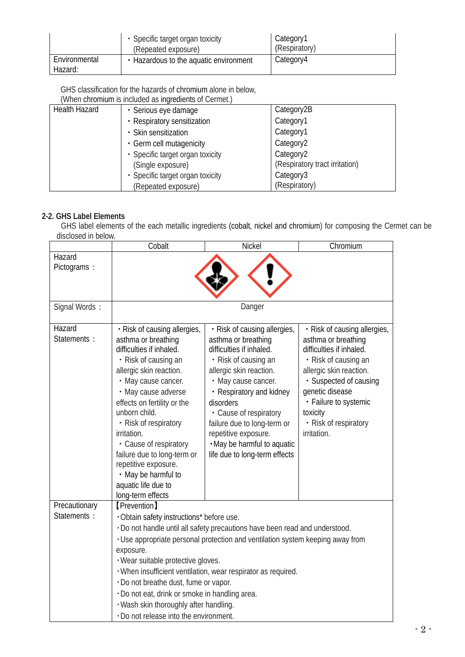|                          | • Specific target organ toxicity<br>(Repeated exposure) | Category1<br>(Respiratory) |
|--------------------------|---------------------------------------------------------|----------------------------|
| Environmental<br>Hazard: | • Hazardous to the aquatic environment                  | Category4                  |

GHS classification for the hazards of chromium alone in below,

(When chromium is included as ingredients of Cermet.)

| <b>Health Hazard</b> | · Serious eye damage             | Category2B                     |
|----------------------|----------------------------------|--------------------------------|
|                      | • Respiratory sensitization      | Category1                      |
|                      | • Skin sensitization             | Category1                      |
|                      | • Germ cell mutagenicity         | Category <sub>2</sub>          |
|                      | • Specific target organ toxicity | Category <sub>2</sub>          |
|                      | (Single exposure)                | (Respiratory tract irritation) |
|                      | · Specific target organ toxicity | Category3                      |
|                      | (Repeated exposure)              | (Respiratory)                  |

# **2-2. GHS Label Elements**

GHS label elements of the each metallic ingredients (cobalt, nickel and chromium) for composing the Cermet can be disclosed in below.

|                              | Cobalt                                                                                                                                                                                                                                                                                                                                                                                                                       | Nickel                                                                                                                                                                                                                                                                                                                                              | Chromium                                                                                                                                                                                                                                                     |
|------------------------------|------------------------------------------------------------------------------------------------------------------------------------------------------------------------------------------------------------------------------------------------------------------------------------------------------------------------------------------------------------------------------------------------------------------------------|-----------------------------------------------------------------------------------------------------------------------------------------------------------------------------------------------------------------------------------------------------------------------------------------------------------------------------------------------------|--------------------------------------------------------------------------------------------------------------------------------------------------------------------------------------------------------------------------------------------------------------|
| Hazard<br>Pictograms:        |                                                                                                                                                                                                                                                                                                                                                                                                                              |                                                                                                                                                                                                                                                                                                                                                     |                                                                                                                                                                                                                                                              |
| Signal Words:                |                                                                                                                                                                                                                                                                                                                                                                                                                              | Danger                                                                                                                                                                                                                                                                                                                                              |                                                                                                                                                                                                                                                              |
| Hazard<br>Statements :       | · Risk of causing allergies,<br>asthma or breathing<br>difficulties if inhaled.<br>• Risk of causing an<br>allergic skin reaction.<br>• May cause cancer.<br>• May cause adverse<br>effects on fertility or the<br>unborn child.<br>• Risk of respiratory<br>irritation.<br>• Cause of respiratory<br>failure due to long-term or<br>repetitive exposure.<br>• May be harmful to<br>aquatic life due to<br>long-term effects | · Risk of causing allergies,<br>asthma or breathing<br>difficulties if inhaled.<br>• Risk of causing an<br>allergic skin reaction.<br>• May cause cancer.<br>• Respiratory and kidney<br>disorders<br>• Cause of respiratory<br>failure due to long-term or<br>repetitive exposure.<br>. May be harmful to aquatic<br>life due to long-term effects | • Risk of causing allergies,<br>asthma or breathing<br>difficulties if inhaled.<br>• Risk of causing an<br>allergic skin reaction.<br>· Suspected of causing<br>genetic disease<br>• Failure to systemic<br>toxicity<br>• Risk of respiratory<br>irritation. |
| Precautionary<br>Statements: | <b>[Prevention]</b><br>· Obtain safety instructions* before use.<br>exposure.<br>· Wear suitable protective gloves.<br>. Do not breathe dust, fume or vapor.<br>· Do not eat, drink or smoke in handling area.<br>· Wash skin thoroughly after handling.<br>. Do not release into the environment.                                                                                                                           | . Do not handle until all safety precautions have been read and understood.<br>. Use appropriate personal protection and ventilation system keeping away from<br>· When insufficient ventilation, wear respirator as required.                                                                                                                      |                                                                                                                                                                                                                                                              |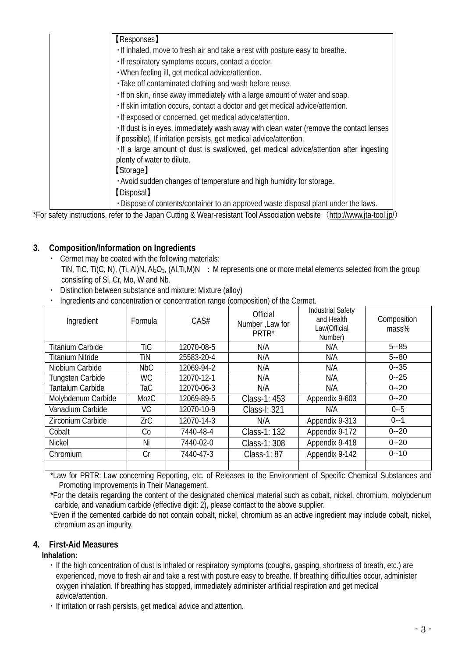| <b>[Responses]</b>                                                                      |
|-----------------------------------------------------------------------------------------|
|                                                                                         |
| . If inhaled, move to fresh air and take a rest with posture easy to breathe.           |
| · If respiratory symptoms occurs, contact a doctor.                                     |
| . When feeling ill, get medical advice/attention.                                       |
| · Take off contaminated clothing and wash before reuse.                                 |
| . If on skin, rinse away immediately with a large amount of water and soap.             |
| . If skin irritation occurs, contact a doctor and get medical advice/attention.         |
| · If exposed or concerned, get medical advice/attention.                                |
| . If dust is in eyes, immediately wash away with clean water (remove the contact lenses |
| if possible). If irritation persists, get medical advice/attention.                     |
| . If a large amount of dust is swallowed, get medical advice/attention after ingesting  |
| plenty of water to dilute.                                                              |
| [Storage]                                                                               |
| . Avoid sudden changes of temperature and high humidity for storage.                    |
| [Disposal]                                                                              |
| · Dispose of contents/container to an approved waste disposal plant under the laws.     |

\*For safety instructions, refer to the Japan Cutting & Wear-resistant Tool Association website (<http://www.jta-tool.jp/>)

# **3. Composition/Information on Ingredients**

- ・ Cermet may be coated with the following materials: TiN, TiC, Ti(C, N), (Ti, Al)N, Al<sub>2</sub>O<sub>3</sub>, (Al,Ti,M)N : M represents one or more metal elements selected from the group consisting of Si, Cr, Mo, W and Nb.
- ・ Distinction between substance and mixture: Mixture (alloy)
- ・ Ingredients and concentration or concentration range (composition) of the Cermet.

| Ingredient              | Formula           | CAS#       | Official<br>Number, Law for<br>PRTR* | <b>Industrial Safety</b><br>and Health<br>Law(Official<br>Number) | Composition<br>mass% |
|-------------------------|-------------------|------------|--------------------------------------|-------------------------------------------------------------------|----------------------|
| <b>Titanium Carbide</b> | TiC               | 12070-08-5 | N/A                                  | N/A                                                               | $5 - 85$             |
| Titanium Nitride        | TiN               | 25583-20-4 | N/A                                  | N/A                                                               | $5 - 80$             |
| Niobium Carbide         | NbC               | 12069-94-2 | N/A                                  | N/A                                                               | $0 - 35$             |
| <b>Tungsten Carbide</b> | <b>WC</b>         | 12070-12-1 | N/A                                  | N/A                                                               | $0 - 25$             |
| Tantalum Carbide        | TaC               | 12070-06-3 | N/A                                  | N/A                                                               | $0 - 20$             |
| Molybdenum Carbide      | M <sub>02</sub> C | 12069-89-5 | Class-1: 453                         | Appendix 9-603                                                    | $0 - 20$             |
| Vanadium Carbide        | VC.               | 12070-10-9 | Class-I: 321                         | N/A                                                               | $0 - 5$              |
| Zirconium Carbide       | ZrC               | 12070-14-3 | N/A                                  | Appendix 9-313                                                    | $0 - 1$              |
| Cobalt                  | Cо                | 7440-48-4  | Class-1: 132                         | Appendix 9-172                                                    | $0 - 20$             |
| <b>Nickel</b>           | Ni                | 7440-02-0  | Class-1: 308                         | Appendix 9-418                                                    | $0 - 20$             |
| Chromium                | Cr                | 7440-47-3  | Class-1: 87                          | Appendix 9-142                                                    | $0 - 10$             |
|                         |                   |            |                                      |                                                                   |                      |

\*Law for PRTR: Law concerning Reporting, etc. of Releases to the Environment of Specific Chemical Substances and Promoting Improvements in Their Management.

 \*For the details regarding the content of the designated chemical material such as cobalt, nickel, chromium, molybdenum carbide, and vanadium carbide (effective digit: 2), please contact to the above supplier.

 \*Even if the cemented carbide do not contain cobalt, nickel, chromium as an active ingredient may include cobalt, nickel, chromium as an impurity.

# **4. First-Aid Measures**

**Inhalation:**

- ・If the high concentration of dust is inhaled or respiratory symptoms (coughs, gasping, shortness of breath, etc.) are experienced, move to fresh air and take a rest with posture easy to breathe. If breathing difficulties occur, administer oxygen inhalation. If breathing has stopped, immediately administer artificial respiration and get medical advice/attention.
- ・If irritation or rash persists, get medical advice and attention.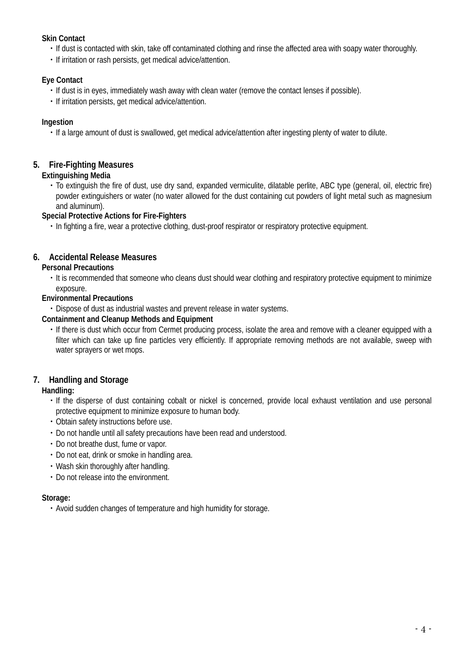## **Skin Contact**

- ・If dust is contacted with skin, take off contaminated clothing and rinse the affected area with soapy water thoroughly.
- ・If irritation or rash persists, get medical advice/attention.

## **Eye Contact**

- ・If dust is in eyes, immediately wash away with clean water (remove the contact lenses if possible).
- ・If irritation persists, get medical advice/attention.

## **Ingestion**

・If a large amount of dust is swallowed, get medical advice/attention after ingesting plenty of water to dilute.

# **5. Fire-Fighting Measures**

## **Extinguishing Media**

・To extinguish the fire of dust, use dry sand, expanded vermiculite, dilatable perlite, ABC type (general, oil, electric fire) powder extinguishers or water (no water allowed for the dust containing cut powders of light metal such as magnesium and aluminum).

## **Special Protective Actions for Fire-Fighters**

・In fighting a fire, wear a protective clothing, dust-proof respirator or respiratory protective equipment.

# **6. Accidental Release Measures**

## **Personal Precautions**

・It is recommended that someone who cleans dust should wear clothing and respiratory protective equipment to minimize exposure.

## **Environmental Precautions**

・Dispose of dust as industrial wastes and prevent release in water systems.

## **Containment and Cleanup Methods and Equipment**

・If there is dust which occur from Cermet producing process, isolate the area and remove with a cleaner equipped with a filter which can take up fine particles very efficiently. If appropriate removing methods are not available, sweep with water sprayers or wet mops.

# **7. Handling and Storage**

## **Handling:**

- ・If the disperse of dust containing cobalt or nickel is concerned, provide local exhaust ventilation and use personal protective equipment to minimize exposure to human body.
- ・Obtain safety instructions before use.
- ・Do not handle until all safety precautions have been read and understood.
- ・Do not breathe dust, fume or vapor.
- ・Do not eat, drink or smoke in handling area.
- ・Wash skin thoroughly after handling.
- ・Do not release into the environment.

### **Storage:**

・Avoid sudden changes of temperature and high humidity for storage.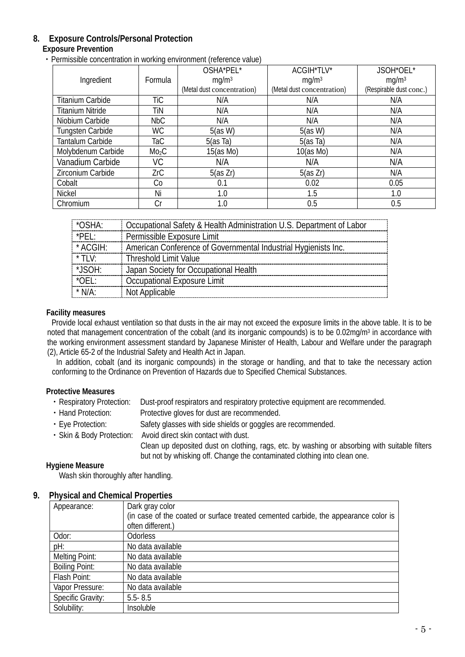# **8. Exposure Controls/Personal Protection**

## **Exposure Prevention**

・Permissible concentration in working environment (reference value)

|                         |                   | OSHA*PEL*                  | ACGIH*TLV*                 | JSOH*OEL*               |
|-------------------------|-------------------|----------------------------|----------------------------|-------------------------|
| Ingredient              | Formula           | mq/m <sup>3</sup>          | mg/m <sup>3</sup>          | mg/m <sup>3</sup>       |
|                         |                   | (Metal dust concentration) | (Metal dust concentration) | (Respirable dust conc.) |
| <b>Titanium Carbide</b> | TiC               | N/A                        | N/A                        | N/A                     |
| <b>Titanium Nitride</b> | TiN               | N/A                        | N/A                        | N/A                     |
| Niobium Carbide         | <b>NbC</b>        | N/A                        | N/A                        | N/A                     |
| Tungsten Carbide        | <b>WC</b>         | 5(as W)                    | 5(as W)                    | N/A                     |
| Tantalum Carbide        | TaC               | $5(as$ Ta)                 | 5(as Ta)                   | N/A                     |
| Molybdenum Carbide      | Mo <sub>2</sub> C | 15(as Mo)                  | 10(as Mo)                  | N/A                     |
| Vanadium Carbide        | VC                | N/A                        | N/A                        | N/A                     |
| Zirconium Carbide       | ZrC               | 5(as Zr)                   | 5(as Zr)                   | N/A                     |
| Cobalt                  | Co                | 0.1                        | 0.02                       | 0.05                    |
| Nickel                  | Ni                | 1.0                        | 1.5                        | 1.0                     |
| Chromium                | Сr                | 1.0                        | 0.5                        | 0.5                     |

| *OSHA:          | Occupational Safety & Health Administration U.S. Department of Labor |
|-----------------|----------------------------------------------------------------------|
| *PEL:           | Permissible Exposure Limit                                           |
| * ACGIH:        | American Conference of Governmental Industrial Hygienists Inc.       |
| $*$ TIV:        | Threshold Limit Value                                                |
| *JSOH:          | Japan Society for Occupational Health                                |
| $^{\star}$ OEL: | Occupational Exposure Limit                                          |
| $*$ N/A:        | Not Applicable                                                       |

### **Facility measures**

Provide local exhaust ventilation so that dusts in the air may not exceed the exposure limits in the above table. It is to be noted that management concentration of the cobalt (and its inorganic compounds) is to be 0.02mg/m<sup>3</sup> in accordance with the working environment assessment standard by Japanese Minister of Health, Labour and Welfare under the paragraph (2), Article 65-2 of the Industrial Safety and Health Act in Japan.

In addition, cobalt (and its inorganic compounds) in the storage or handling, and that to take the necessary action conforming to the Ordinance on Prevention of Hazards due to Specified Chemical Substances.

## **Protective Measures**

- ・Respiratory Protection: Dust-proof respirators and respiratory protective equipment are recommended.
- ・Hand Protection: Protective gloves for dust are recommended.
- ・Eye Protection: Safety glasses with side shields or goggles are recommended.
- ・Skin & Body Protection: Avoid direct skin contact with dust.
	- Clean up deposited dust on clothing, rags, etc. by washing or absorbing with suitable filters but not by whisking off. Change the contaminated clothing into clean one.

### **Hygiene Measure**

Wash skin thoroughly after handling.

### **9. Physical and Chemical Properties**

| Appearance:           | Dark gray color                                                                     |
|-----------------------|-------------------------------------------------------------------------------------|
|                       | (in case of the coated or surface treated cemented carbide, the appearance color is |
|                       | often different.)                                                                   |
| Odor:                 | <b>Odorless</b>                                                                     |
| pH:                   | No data available                                                                   |
| <b>Melting Point:</b> | No data available                                                                   |
| <b>Boiling Point:</b> | No data available                                                                   |
| Flash Point:          | No data available                                                                   |
| Vapor Pressure:       | No data available                                                                   |
| Specific Gravity:     | $5.5 - 8.5$                                                                         |
| Solubility:           | Insoluble                                                                           |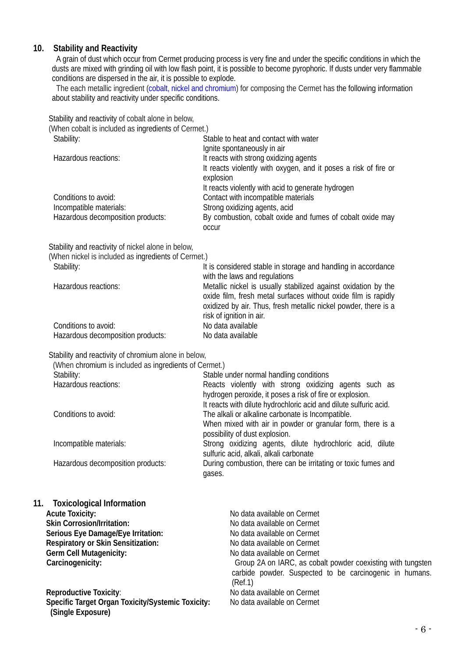## **10. Stability and Reactivity**

A grain of dust which occur from Cermet producing process is very fine and under the specific conditions in which the dusts are mixed with grinding oil with low flash point, it is possible to become pyrophoric. If dusts under very flammable conditions are dispersed in the air, it is possible to explode.

The each metallic ingredient (cobalt, nickel and chromium) for composing the Cermet has the following information about stability and reactivity under specific conditions.

Stability and reactivity of cobalt alone in below,

| (When cobalt is included as ingredients of Cermet.) |                                                                 |
|-----------------------------------------------------|-----------------------------------------------------------------|
| Stability:                                          | Stable to heat and contact with water                           |
|                                                     | Ignite spontaneously in air                                     |
| Hazardous reactions:                                | It reacts with strong oxidizing agents                          |
|                                                     | It reacts violently with oxygen, and it poses a risk of fire or |
|                                                     | explosion                                                       |
|                                                     | It reacts violently with acid to generate hydrogen              |
| Conditions to avoid:                                | Contact with incompatible materials                             |
| Incompatible materials:                             | Strong oxidizing agents, acid                                   |
| Hazardous decomposition products:                   | By combustion, cobalt oxide and fumes of cobalt oxide may       |
|                                                     | <b>OCCUL</b>                                                    |
| Stability and reactivity of nickel alone in below,  |                                                                 |
| (When nickel is included as ingredients of Cermet.) |                                                                 |
| Stability:                                          | It is considered stable in storage and handling in accordance   |
|                                                     | with the laws and regulations                                   |
| Hazardous reactions:                                | Metallic nickel is usually stabilized against oxidation by the  |
|                                                     | oxide film, fresh metal surfaces without oxide film is rapidly  |
|                                                     | oxidized by air. Thus, fresh metallic nickel powder, there is a |
|                                                     | risk of ignition in air.                                        |
| Conditions to avoid:                                | No data available                                               |
| Hazardous decomposition products:                   | No data available                                               |

Stability and reactivity of chromium alone in below,

Hazardous decomposition products:

| (When chromium is included as ingredients of Cermet.)                  |                                                                   |
|------------------------------------------------------------------------|-------------------------------------------------------------------|
| Stability:                                                             | Stable under normal handling conditions                           |
| Hazardous reactions:                                                   | Reacts violently with strong oxidizing agents such as             |
|                                                                        | hydrogen peroxide, it poses a risk of fire or explosion.          |
|                                                                        | It reacts with dilute hydrochloric acid and dilute sulfuric acid. |
| Conditions to avoid:                                                   | The alkali or alkaline carbonate is Incompatible.                 |
|                                                                        | When mixed with air in powder or granular form, there is a        |
|                                                                        | possibility of dust explosion.                                    |
| Incompatible materials:                                                | Strong oxidizing agents, dilute hydrochloric acid, dilute         |
|                                                                        | sulfuric acid, alkali, alkali carbonate                           |
| Hazardous decomposition products:                                      | During combustion, there can be irritating or toxic fumes and     |
|                                                                        | gases.                                                            |
|                                                                        |                                                                   |
|                                                                        |                                                                   |
| <b>Toxicological Information</b><br>11.                                |                                                                   |
| <b>Acute Toxicity:</b>                                                 | No data available on Cermet                                       |
| <b>Skin Corrosion/Irritation:</b>                                      | No data available on Cermet                                       |
| Serious Eye Damage/Eye Irritation:                                     | No data available on Cermet                                       |
| <b>Respiratory or Skin Sensitization:</b>                              | No data available on Cermet                                       |
| Germ Cell Mutagenicity:                                                | No data available on Cermet                                       |
| Carcinogenicity:                                                       | Group 2A on IARC, as cobalt powder coexisting with tungsten       |
|                                                                        | carbide powder. Suspected to be carcinogenic in humans.           |
|                                                                        | (Ref.1)                                                           |
| <b>Reproductive Toxicity:</b>                                          | No data available on Cermet                                       |
| Specific Target Organ Toxicity/Systemic Toxicity:<br>(Single Exposure) | No data available on Cermet                                       |
|                                                                        |                                                                   |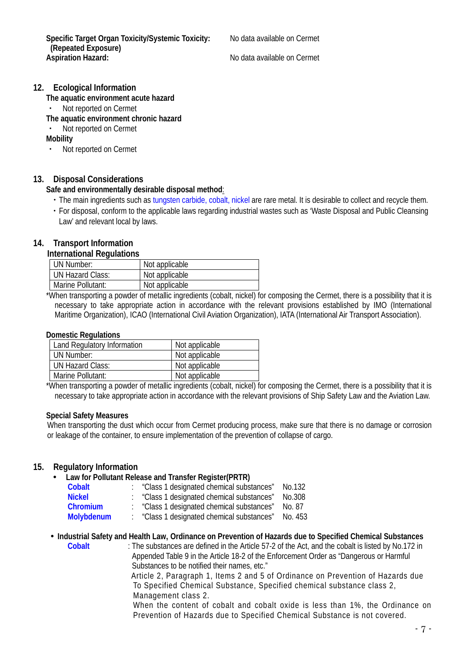Specific Target Organ Toxicity/Systemic Toxicity: No data available on Cermet **(Repeated Exposure)**

**Aspiration Hazard:** No data available on Cermet

## **12. Ecological Information**

**The aquatic environment acute hazard**

・ Not reported on Cermet

**The aquatic environment chronic hazard**

Not reported on Cermet

**Mobility**

・ Not reported on Cermet

## **13. Disposal Considerations**

### **Safe and environmentally desirable disposal method**:

- ・The main ingredients such as tungsten carbide, cobalt, nickel are rare metal. It is desirable to collect and recycle them.
- ・For disposal, conform to the applicable laws regarding industrial wastes such as 'Waste Disposal and Public Cleansing Law' and relevant local by laws.

## **14. Transport Information**

### **International Regulations**

| UN Number:        | Not applicable |
|-------------------|----------------|
| UN Hazard Class:  | Not applicable |
| Marine Pollutant: | Not applicable |

 \*When transporting a powder of metallic ingredients (cobalt, nickel) for composing the Cermet, there is a possibility that it is necessary to take appropriate action in accordance with the relevant provisions established by IMO (International Maritime Organization), ICAO (International Civil Aviation Organization), IATA (International Air Transport Association).

### **Domestic Regulations**

| <b>Land Regulatory Information</b> | Not applicable |
|------------------------------------|----------------|
| UN Number:                         | Not applicable |
| UN Hazard Class:                   | Not applicable |
| Marine Pollutant:                  | Not applicable |

 \*When transporting a powder of metallic ingredients (cobalt, nickel) for composing the Cermet, there is a possibility that it is necessary to take appropriate action in accordance with the relevant provisions of Ship Safety Law and the Aviation Law.

### **Special Safety Measures**

When transporting the dust which occur from Cermet producing process, make sure that there is no damage or corrosion or leakage of the container, to ensure implementation of the prevention of collapse of cargo.

### **15. Regulatory Information**

### **Law for Pollutant Release and Transfer Register(PRTR)**

| Cobalt            | "Class 1 designated chemical substances" | No.132  |
|-------------------|------------------------------------------|---------|
| <b>Nickel</b>     | "Class 1 designated chemical substances" | No.308  |
| <b>Chromium</b>   | "Class 1 designated chemical substances" | No. 87  |
| <b>Molybdenum</b> | "Class 1 designated chemical substances" | No. 453 |
|                   |                                          |         |

### **Industrial Safety and Health Law, Ordinance on Prevention of Hazards due to Specified Chemical Substances**

**Cobalt** : The substances are defined in [the Article 57-2 of the Act,](http://www.jniosh.go.jp/icpro/jicosh-old/japanese/country/japan/laws/01_occ/05b.html#lawA57b) and the cobalt is listed by No.172 in Appended Table 9 in the Article 18-2 of the Enforcement Order as "Dangerous or Harmful Substances to be notified their names, etc." Article 2, Paragraph 1, Items 2 and 5 of Ordinance on Prevention of Hazards due To Specified Chemical Substance, Specified chemical substance class 2, Management class 2. When the content of cobalt and cobalt oxide is less than 1%, the Ordinance on Prevention of Hazards due to Specified Chemical Substance is not covered.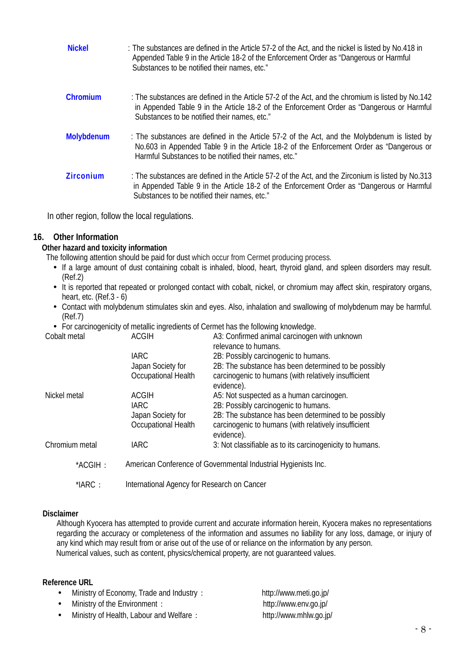| <b>Nickel</b>    | : The substances are defined in the Article 57-2 of the Act, and the nickel is listed by No.418 in<br>Appended Table 9 in the Article 18-2 of the Enforcement Order as "Dangerous or Harmful<br>Substances to be notified their names, etc."     |
|------------------|--------------------------------------------------------------------------------------------------------------------------------------------------------------------------------------------------------------------------------------------------|
| Chromium         | : The substances are defined in the Article 57-2 of the Act, and the chromium is listed by No.142<br>in Appended Table 9 in the Article 18-2 of the Enforcement Order as "Dangerous or Harmful<br>Substances to be notified their names, etc."   |
| Molybdenum       | : The substances are defined in the Article 57-2 of the Act, and the Molybdenum is listed by<br>No.603 in Appended Table 9 in the Article 18-2 of the Enforcement Order as "Dangerous or<br>Harmful Substances to be notified their names, etc." |
| <b>Zirconium</b> | : The substances are defined in the Article 57-2 of the Act, and the Zirconium is listed by No.313<br>in Appended Table 9 in the Article 18-2 of the Enforcement Order as "Dangerous or Harmful<br>Substances to be notified their names, etc."  |

In other region, follow the local regulations.

## **16. Other Information**

## **Other hazard and toxicity information**

The following attention should be paid for dust which occur from Cermet producing process.

- If a large amount of dust containing cobalt is inhaled, blood, heart, thyroid gland, and spleen disorders may result. (Ref.2)
- It is reported that repeated or prolonged contact with cobalt, nickel, or chromium may affect skin, respiratory organs, heart, etc. (Ref.3 - 6)
- Contact with molybdenum stimulates skin and eyes. Also, inhalation and swallowing of molybdenum may be harmful. (Ref.7)

A3: Confirmed animal carcinogen with unknown

For carcinogenicity of metallic ingredients of Cermet has the following knowledge.<br>Cobalt metal **ACGIH** A3: Confirmed animal carcinogen

|                | <b>IARC</b>                                                    | relevance to humans.<br>2B: Possibly carcinogenic to humans.                                                 |  |
|----------------|----------------------------------------------------------------|--------------------------------------------------------------------------------------------------------------|--|
|                | Japan Society for<br>Occupational Health                       | 2B: The substance has been determined to be possibly<br>carcinogenic to humans (with relatively insufficient |  |
|                |                                                                | evidence).                                                                                                   |  |
| Nickel metal   | <b>ACGIH</b>                                                   | A5: Not suspected as a human carcinogen.                                                                     |  |
|                | <b>IARC</b>                                                    | 2B: Possibly carcinogenic to humans.                                                                         |  |
|                | Japan Society for                                              | 2B: The substance has been determined to be possibly                                                         |  |
|                | Occupational Health                                            | carcinogenic to humans (with relatively insufficient<br>evidence).                                           |  |
| Chromium metal | <b>IARC</b>                                                    | 3: Not classifiable as to its carcinogenicity to humans.                                                     |  |
| *ACGIH:        | American Conference of Governmental Industrial Hygienists Inc. |                                                                                                              |  |
| $*IARC:$       | International Agency for Research on Cancer                    |                                                                                                              |  |

### **Disclaimer**

Although Kyocera has attempted to provide current and accurate information herein, Kyocera makes no representations regarding the accuracy or completeness of the information and assumes no liability for any loss, damage, or injury of any kind which may result from or arise out of the use of or reliance on the information by any person. Numerical values, such as content, physics/chemical property, are not guaranteed values.

## **Reference URL**

- Ministry of Economy, Trade and Industry: http://www.meti.go.jp/
- Ministry of the Environment: http://www.env.go.jp/
- Ministry of Health, Labour and Welfare: http://www.mhlw.go.jp/